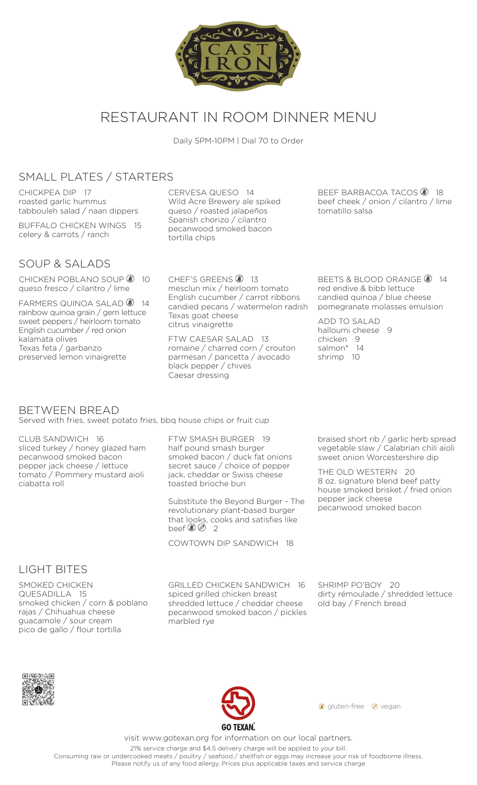

# RESTAURANT IN ROOM DINNER MENU

Daily 5PM-10PM | Dial 70 to Order

### SMALL PLATES / STARTERS

CHICKPEA DIP 17 roasted garlic hummus tabbouleh salad / naan dippers

BUFFALO CHICKEN WINGS 15 celery & carrots / ranch

### SOUP & SALADS

CHICKEN POBLANO SOUP 3 10 queso fresco / cilantro / lime

FARMERS QUINOA SALAD 3 14 rainbow quinoa grain / gem lettuce sweet peppers / heirloom tomato English cucumber / red onion kalamata olives Texas feta / garbanzo preserved lemon vinaigrette

CERVESA QUESO 14 Wild Acre Brewery ale spiked queso / roasted jalapeños Spanish chorizo / cilantro pecanwood smoked bacon tortilla chips

CHEF'S GREENS **8** 13 mesclun mix / heirloom tomato English cucumber / carrot ribbons candied pecans / watermelon radish Texas goat cheese citrus vinaigrette

FTW CAESAR SALAD 13 romaine / charred corn / crouton parmesan / pancetta / avocado black pepper / chives Caesar dressing

BEEF BARBACOA TACOS **8** 18 beef cheek / onion / cilantro / lime tomatillo salsa

BEETS & BLOOD ORANGE <sup>14</sup> red endive & bibb lettuce candied quinoa / blue cheese pomegranate molasses emulsion

ADD TO SALAD halloumi cheese 9 chicken 9 salmon\* 14 shrimp 10

#### BETWEEN BREAD Served with fries, sweet potato fries, bbq house chips or fruit cup

CLUB SANDWICH 16 sliced turkey / honey glazed ham pecanwood smoked bacon pepper jack cheese / lettuce tomato / Pommery mustard aioli ciabatta roll

FTW SMASH BURGER 19 half pound smash burger smoked bacon / duck fat onions secret sauce / choice of pepper jack, cheddar or Swiss cheese toasted brioche bun

Substitute the Beyond Burger - The revolutionary plant-based burger that looks, cooks and satisfies like beef  $\&\oslash$  2

COWTOWN DIP SANDWICH 18

braised short rib / garlic herb spread vegetable slaw / Calabrian chili aioli sweet onion Worcestershire dip

THE OLD WESTERN 20 8 oz. signature blend beef patty house smoked brisket / fried onion pepper jack cheese pecanwood smoked bacon

#### LIGHT BITES

SMOKED CHICKEN QUESADILLA 15 smoked chicken / corn & poblano rajas / Chihuahua cheese guacamole / sour cream pico de gallo / flour tortilla

GRILLED CHICKEN SANDWICH 16 spiced grilled chicken breast shredded lettuce / cheddar cheese pecanwood smoked bacon / pickles marbled rye

SHRIMP PO'BOY 20 dirty rémoulade / shredded lettuce old bay / French bread





**g** gluten-free @ vegan

visit www.gotexan.org for information on our local partners.

21% service charge and \$4.5 delivery charge will be applied to your bill.

Consuming raw or undercooked meats / poultry / seafood / shellfish or eggs may increase your risk of foodborne illness. Please notify us of any food allergy. Prices plus applicable taxes and service charge